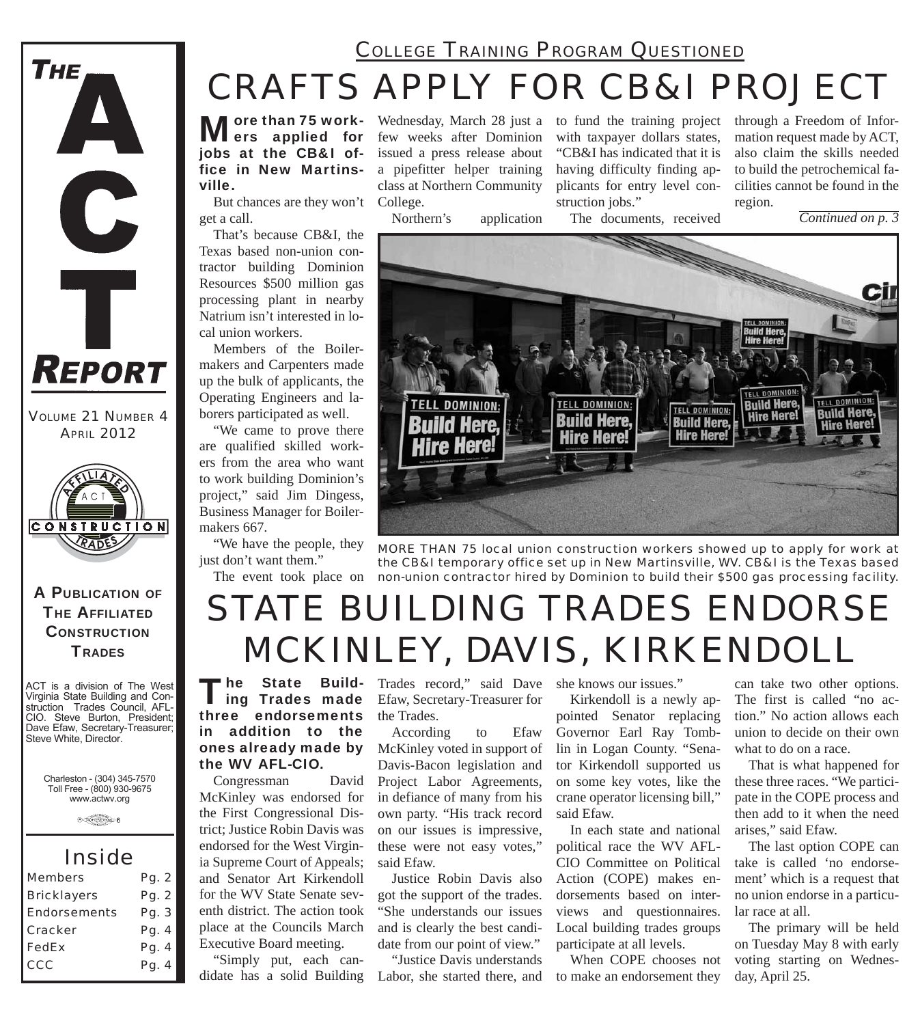## *COLLEGE TRAINING PROGRAM QUESTIONED*

# *CRAFTS APPLY FOR CB&I PROJECT*

More than 75 work-<br>
Mers applied for jobs at the CB&I office in New Martinsville.

But chances are they won't College. get a call.

That's because CB&I, the Texas based non-union contractor building Dominion Resources \$500 million gas processing plant in nearby Natrium isn't interested in local union workers.

Members of the Boilermakers and Carpenters made up the bulk of applicants, the Operating Engineers and laborers participated as well.

"We came to prove there are qualified skilled workers from the area who want to work building Dominion's project," said Jim Dingess, Business Manager for Boilermakers 667.

"We have the people, they just don't want them."

Wednesday, March 28 just a few weeks after Dominion issued a press release about a pipefitter helper training class at Northern Community

Northern's application

to fund the training project with taxpayer dollars states, "CB&I has indicated that it is having difficulty finding applicants for entry level construction jobs."

through a Freedom of Information request made by ACT, also claim the skills needed to build the petrochemical facilities cannot be found in the region.

*Continued on p. 3*





The event took place on *non-union contractor hired by Dominion to build their \$500 gas processing facility. MORE THAN 75 local union construction workers showed up to apply for work at the CB&I temporary office set up in New Martinsville, WV. CB&I is the Texas based* 

# *STATE BUILDING TRADES ENDORSE MCKINLEY, DAVIS, KIRKENDOLL*

The State Build-<br>Ing Trades made three endorsements in addition to the ones already made by the WV AFL-CIO.

Congressman David McKinley was endorsed for the First Congressional District; Justice Robin Davis was endorsed for the West Virginia Supreme Court of Appeals; and Senator Art Kirkendoll for the WV State Senate seventh district. The action took place at the Councils March Executive Board meeting.

"Simply put, each candidate has a solid Building

Trades record," said Dave Efaw, Secretary-Treasurer for the Trades.

According to Efaw McKinley voted in support of Davis-Bacon legislation and Project Labor Agreements, in defiance of many from his own party. "His track record on our issues is impressive, these were not easy votes," said Efaw.

Justice Robin Davis also got the support of the trades. "She understands our issues and is clearly the best candidate from our point of view."

"Justice Davis understands Labor, she started there, and she knows our issues."

Kirkendoll is a newly appointed Senator replacing Governor Earl Ray Tomblin in Logan County. "Senator Kirkendoll supported us on some key votes, like the crane operator licensing bill," said Efaw.

In each state and national political race the WV AFL-CIO Committee on Political Action (COPE) makes endorsements based on interviews and questionnaires. Local building trades groups participate at all levels.

When COPE chooses not to make an endorsement they

can take two other options. The first is called "no action." No action allows each union to decide on their own what to do on a race.

That is what happened for these three races. "We participate in the COPE process and then add to it when the need arises," said Efaw.

The last option COPE can take is called 'no endorsement' which is a request that no union endorse in a particular race at all.

The primary will be held on Tuesday May 8 with early voting starting on Wednesday, April 25.

**THE AFFILIATED CONSTRUCTION TRADES** 

A PUBLICATION OF

**CONSTRUCTION** RADES

*VOLUME 21 NUMBER 4 APRIL 2012*

REPORT

**THE** 

A

C

Ť

ACT is a division of The West Virginia State Building and Construction Trades Council, AFL-CIO. Steve Burton, President; Dave Efaw, Secretary-Treasurer; Steve White, Director.

> Charleston - (304) 345-7570 Toll Free - (800) 930-9675 www.actwv.org

> > $A$  (Takes Signal Boyses)  $6$

## *Inside*

| <b>Members</b>      | Pg. 2 |
|---------------------|-------|
| <b>Bricklayers</b>  | Pg. 2 |
| <b>Endorsements</b> | Pa. 3 |
| Cracker             | Pg. 4 |
| <b>FedEx</b>        | Pg. 4 |
| CCC                 | Pg. 4 |
|                     |       |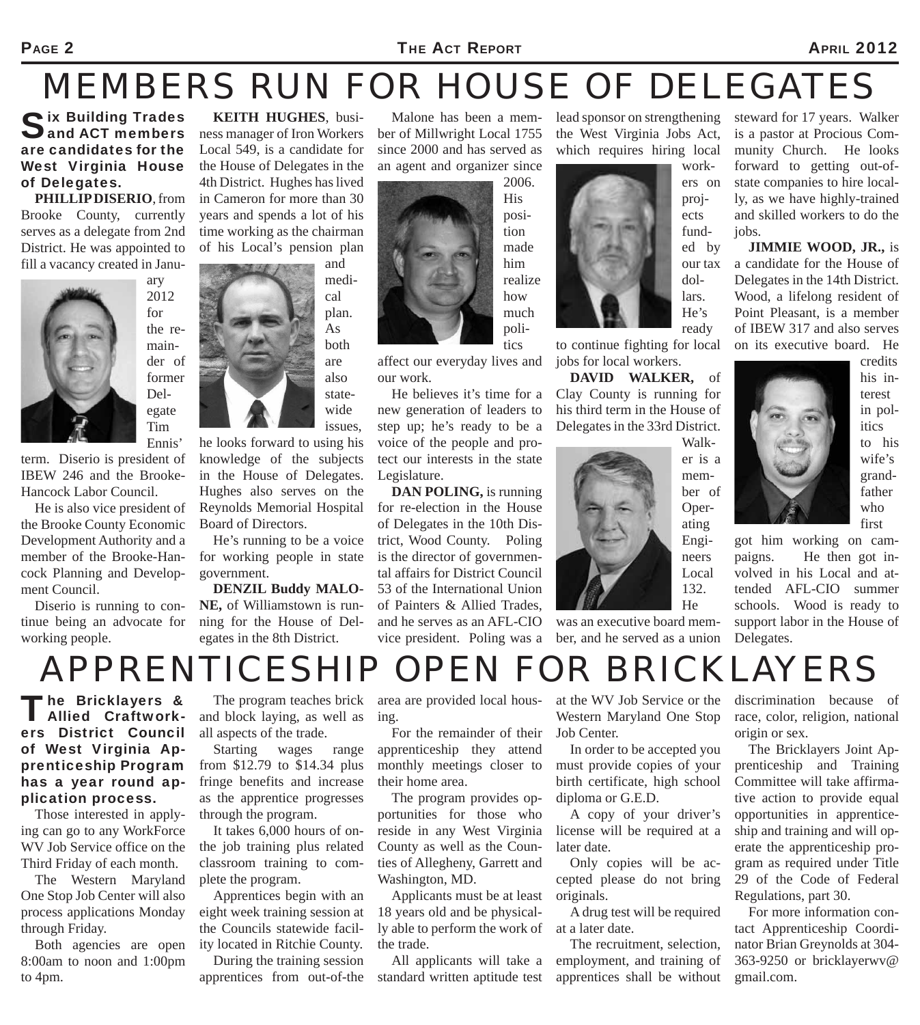### PAGE 2 **THE ACT REPORT PAGE 2 APRIL 2012**

# *MEMBERS RUN FOR HOUSE OF DELEGATES*

Six Building Trades<br>Sand ACT members are candidates for the West Virginia House of Delegates.

**PHILLIP DISERIO**, from Brooke County, currently serves as a delegate from 2nd District. He was appointed to fill a vacancy created in Janu-

> ary 2012 for the remainder of former Delegate Tim



Ennis' term. Diserio is president of IBEW 246 and the Brooke-Hancock Labor Council.

He is also vice president of the Brooke County Economic Development Authority and a member of the Brooke-Hancock Planning and Development Council.

Diserio is running to continue being an advocate for working people.

**KEITH HUGHES**, business manager of Iron Workers Local 549, is a candidate for the House of Delegates in the 4th District. Hughes has lived in Cameron for more than 30 years and spends a lot of his time working as the chairman of his Local's pension plan

and medical plan. As both are also statewide issues,

he looks forward to using his knowledge of the subjects in the House of Delegates. Hughes also serves on the Reynolds Memorial Hospital Board of Directors.

He's running to be a voice for working people in state government.

**DENZIL Buddy MALO-NE,** of Williamstown is running for the House of Delegates in the 8th District.

Malone has been a member of Millwright Local 1755 since 2000 and has served as an agent and organizer since



affect our everyday lives and our work.

He believes it's time for a new generation of leaders to step up; he's ready to be a voice of the people and protect our interests in the state Legislature.

**DAN POLING,** is running for re-election in the House of Delegates in the 10th District, Wood County. Poling is the director of governmental affairs for District Council 53 of the International Union of Painters & Allied Trades, and he serves as an AFL-CIO vice president. Poling was a lead sponsor on strengthening the West Virginia Jobs Act, which requires hiring local



to continue fighting for local jobs for local workers.

**DAVID WALKER,** of Clay County is running for his third term in the House of Delegates in the 33rd District.



was an executive board member, and he served as a union steward for 17 years. Walker is a pastor at Procious Community Church. He looks forward to getting out-ofstate companies to hire locally, as we have highly-trained and skilled workers to do the jobs.

**JIMMIE WOOD, JR.,** is a candidate for the House of Delegates in the 14th District. Wood, a lifelong resident of Point Pleasant, is a member of IBEW 317 and also serves on its executive board. He



terest in politics to his wife's grandfather who first

got him working on campaigns. He then got involved in his Local and attended AFL-CIO summer schools. Wood is ready to support labor in the House of Delegates.

# *APPRENTICESHIP OPEN FOR BRICKLAYERS*

## The Bricklayers &<br>
Allied Craftworkers District Council of West Virginia Apprenticeship Program has a year round application process.

Those interested in applying can go to any WorkForce WV Job Service office on the Third Friday of each month.

The Western Maryland One Stop Job Center will also process applications Monday through Friday.

Both agencies are open 8:00am to noon and 1:00pm to 4pm.

The program teaches brick and block laying, as well as all aspects of the trade.

Starting wages range from \$12.79 to \$14.34 plus fringe benefits and increase as the apprentice progresses through the program.

It takes 6,000 hours of onthe job training plus related classroom training to complete the program.

Apprentices begin with an eight week training session at the Councils statewide facility located in Ritchie County.

During the training session apprentices from out-of-the

area are provided local housing.

For the remainder of their apprenticeship they attend monthly meetings closer to their home area.

The program provides opportunities for those who reside in any West Virginia County as well as the Counties of Allegheny, Garrett and Washington, MD.

Applicants must be at least 18 years old and be physically able to perform the work of the trade.

All applicants will take a standard written aptitude test at the WV Job Service or the Western Maryland One Stop Job Center.

In order to be accepted you must provide copies of your birth certificate, high school diploma or G.E.D.

A copy of your driver's license will be required at a later date.

Only copies will be accepted please do not bring originals.

A drug test will be required at a later date.

The recruitment, selection, employment, and training of apprentices shall be without discrimination because of race, color, religion, national origin or sex.

The Bricklayers Joint Apprenticeship and Training Committee will take affirmative action to provide equal opportunities in apprenticeship and training and will operate the apprenticeship program as required under Title 29 of the Code of Federal Regulations, part 30.

For more information contact Apprenticeship Coordinator Brian Greynolds at 304- 363-9250 or bricklayerwv@ gmail.com.

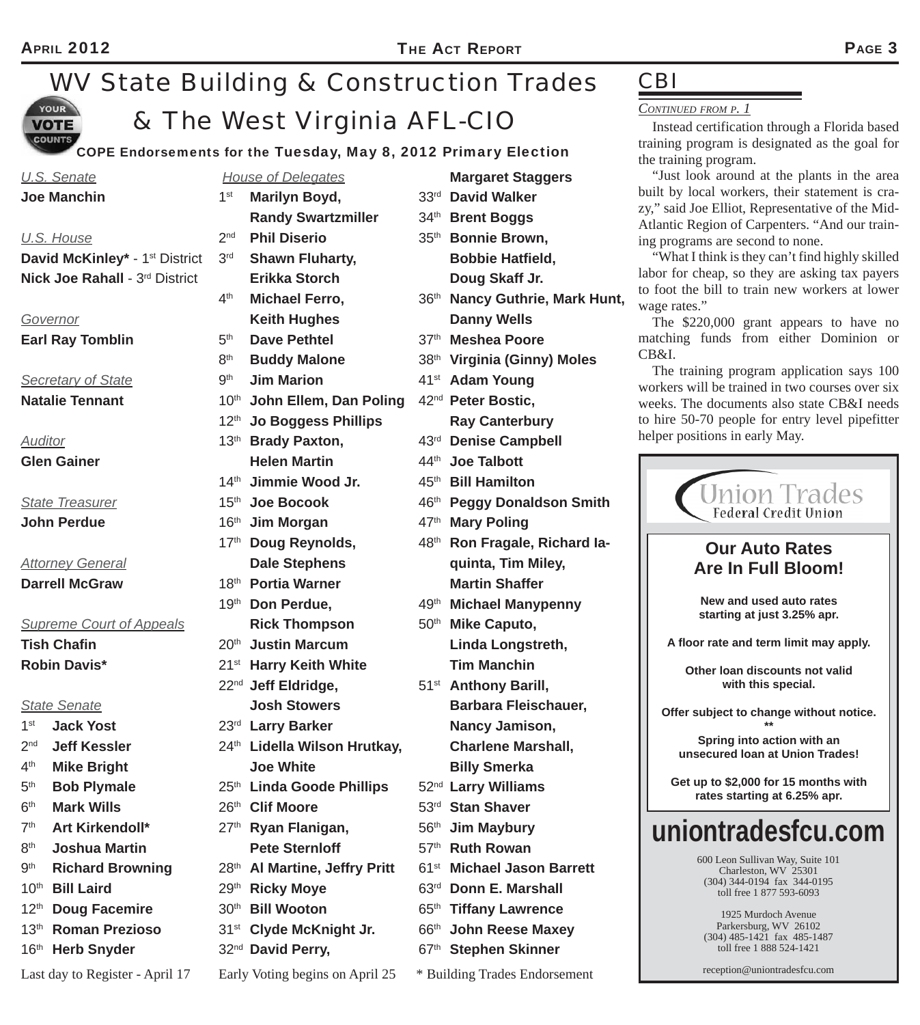### *WV State Building & Construction Trades*  **YOUR** *& The West Virginia AFL-CIO* **VOTE COUNTS**

**COPE Endorseme** 

|                                | U.S. Senate                                    |                    | <b>House of L</b>       |
|--------------------------------|------------------------------------------------|--------------------|-------------------------|
|                                | <b>Joe Manchin</b>                             | 1 <sup>st</sup>    | <b>Marily</b>           |
|                                |                                                |                    | <b>Randy</b>            |
|                                | U.S. House                                     | 2 <sup>nd</sup>    | <b>Phil D</b>           |
|                                | David McKinley* - 1 <sup>st</sup> District 3rd |                    | <b>Shaw</b>             |
| Nick Joe Rahall - 3rd District |                                                |                    | <b>Erikka</b>           |
|                                |                                                | $4^{\text{th}}$    | <b>Micha</b>            |
|                                | <b>Governor</b>                                |                    | <b>Keith</b>            |
| <b>Earl Ray Tomblin</b>        |                                                | 5 <sup>th</sup>    | Dave I                  |
|                                |                                                | 8 <sup>th</sup>    | <b>Buddy</b>            |
|                                | <b>Secretary of State</b>                      | 9 <sup>th</sup>    | Jim M                   |
|                                | <b>Natalie Tennant</b>                         |                    | 10th John               |
|                                |                                                |                    | 12th Jo Bo              |
| <b>Auditor</b>                 |                                                |                    | 13 <sup>th</sup> Brady  |
|                                | <b>Glen Gainer</b>                             |                    | <b>Helen</b>            |
|                                |                                                |                    | 14 <sup>th</sup> Jimmi  |
|                                | <b>State Treasurer</b>                         |                    | 15th Joe B              |
|                                | <b>John Perdue</b>                             |                    | 16th Jim M              |
|                                |                                                | 17 <sup>th</sup>   | Doug                    |
|                                | <b>Attorney General</b>                        |                    | Dale S                  |
| <b>Darrell McGraw</b>          |                                                |                    | 18th Portia             |
|                                |                                                |                    | 19th Don P              |
|                                | <b>Supreme Court of Appeals</b>                |                    | <b>Rick T</b>           |
| <b>Tish Chafin</b>             |                                                |                    | 20th Justin             |
|                                | <b>Robin Davis*</b>                            |                    | 21 <sup>st</sup> Harry  |
|                                |                                                |                    | 22 <sup>nd</sup> Jeff E |
|                                | <b>State Senate</b>                            |                    | Josh {                  |
| 1 <sup>st</sup>                | <b>Jack Yost</b>                               | 23 <sup>rd</sup>   | Larry                   |
|                                | 2 <sup>nd</sup> Jeff Kessler                   | $24^{\mathsf{th}}$ | Lidella                 |
| $4^{\text{th}}$                | <b>Mike Bright</b>                             |                    | <b>Joe W</b>            |
| 5 <sup>th</sup>                | <b>Bob Plymale</b>                             | 25 <sup>th</sup>   | Linda                   |
| 6 <sup>th</sup>                | <b>Mark Wills</b>                              |                    | 26th Clif M             |
| 7 <sup>th</sup>                | Art Kirkendoll*                                | 27 <sup>th</sup>   | Ryan                    |
| $8^{\rm th}$                   | <b>Joshua Martin</b>                           |                    | Pete S                  |
| 9 <sup>th</sup>                | <b>Richard Browning</b>                        | 28 <sup>th</sup>   | Al Mar                  |
| $10^{\text{th}}$               | <b>Bill Laird</b>                              | 29 <sup>th</sup>   | <b>Ricky</b>            |
|                                | 12th Doug Facemire                             |                    | 30 <sup>th</sup> Bill W |
|                                | 13th Roman Prezioso                            | 31 <sup>st</sup>   | <b>Clyde</b>            |
|                                | 16th Herb Snyder                               |                    | 32nd David              |

Last day to Register - April 17 Early Voting begins on April 25  $*$  Building Trades Endorsement

| ents for the Tuesday, May 8, 2012 |                  |                                          |                  |
|-----------------------------------|------------------|------------------------------------------|------------------|
|                                   |                  | <b>House of Delegates</b>                |                  |
|                                   | 1 <sup>st</sup>  | Marilyn Boyd,                            | 33 <sup>n</sup>  |
|                                   |                  | <b>Randy Swartzmiller</b>                | 34 <sup>th</sup> |
|                                   | 2 <sup>nd</sup>  | <b>Phil Diserio</b>                      | 35 <sup>tl</sup> |
| сt                                | 3 <sup>rd</sup>  | <b>Shawn Fluharty,</b>                   |                  |
| ۰t                                |                  | <b>Erikka Storch</b>                     |                  |
|                                   | 4 <sup>th</sup>  | <b>Michael Ferro,</b>                    | 36 <sup>tl</sup> |
|                                   |                  | <b>Keith Hughes</b>                      |                  |
|                                   | 5 <sup>th</sup>  | <b>Dave Pethtel</b>                      | 37 <sup>tl</sup> |
|                                   | 8 <sup>th</sup>  | <b>Buddy Malone</b>                      | 38 <sup>tl</sup> |
|                                   | 9 <sup>th</sup>  | <b>Jim Marion</b>                        | 41 <sup>s</sup>  |
|                                   |                  | 10th John Ellem, Dan Poling              | 42 <sup>n</sup>  |
|                                   |                  | 12th Jo Boggess Phillips                 |                  |
|                                   |                  | 13th Brady Paxton,                       | 43 <sup>r</sup>  |
|                                   |                  | <b>Helen Martin</b>                      | $44^t$           |
|                                   |                  | 14th Jimmie Wood Jr.                     | 45 <sup>tl</sup> |
|                                   |                  | 15th Joe Bocook                          | 46 <sup>tl</sup> |
|                                   |                  | 16th Jim Morgan                          | 47tl             |
|                                   | 17 <sup>th</sup> | Doug Reynolds,                           | 48tl             |
|                                   |                  | <b>Dale Stephens</b>                     |                  |
|                                   |                  | 18th Portia Warner                       |                  |
|                                   |                  | 19th Don Perdue,                         | 49tl             |
|                                   |                  | <b>Rick Thompson</b>                     | 50 <sup>tl</sup> |
|                                   |                  | 20th Justin Marcum                       |                  |
|                                   | $21^{st}$        | <b>Harry Keith White</b>                 |                  |
|                                   |                  | 22 <sup>nd</sup> Jeff Eldridge,          | 51 <sup>s</sup>  |
|                                   |                  | <b>Josh Stowers</b>                      |                  |
|                                   |                  | 23rd Larry Barker                        |                  |
|                                   |                  | 24 <sup>th</sup> Lidella Wilson Hrutkay, |                  |
|                                   |                  | <b>Joe White</b>                         |                  |
|                                   |                  | 25th Linda Goode Phillips                | 52 <sup>n</sup>  |
|                                   |                  | 26th Clif Moore                          | 53 <sup>r</sup>  |
|                                   |                  | 27 <sup>th</sup> Ryan Flanigan,          | 56tl             |
|                                   |                  | <b>Pete Sternloff</b>                    | 57 <sup>tl</sup> |
|                                   |                  | 28th Al Martine, Jeffry Pritt            | 61 <sup>s</sup>  |
|                                   |                  | 29th Ricky Moye                          | 63 <sup>r</sup>  |
|                                   |                  | 30th Bill Wooton                         | 65 <sup>tl</sup> |
|                                   | 31 <sup>st</sup> | <b>Clyde McKnight Jr.</b>                | 66 <sup>tl</sup> |
|                                   |                  | 32 <sup>nd</sup> David Perry,            | 67tl             |
|                                   |                  |                                          |                  |

| <b>12 Primary Election</b> |                                         |  |  |  |
|----------------------------|-----------------------------------------|--|--|--|
|                            | <b>Margaret Staggers</b>                |  |  |  |
| 33 <sup>rd</sup>           | <b>David Walker</b>                     |  |  |  |
| $34$ <sup>th</sup>         | <b>Brent Boggs</b>                      |  |  |  |
| 35 <sup>th</sup>           | <b>Bonnie Brown,</b>                    |  |  |  |
|                            | <b>Bobbie Hatfield,</b>                 |  |  |  |
|                            | Doug Skaff Jr.                          |  |  |  |
| $36^{\sf th}$              | <b>Nancy Guthrie, Mark Hunt,</b>        |  |  |  |
|                            | <b>Danny Wells</b>                      |  |  |  |
| 37 <sup>th</sup>           | <b>Meshea Poore</b>                     |  |  |  |
|                            | 38 <sup>th</sup> Virginia (Ginny) Moles |  |  |  |
| $41^{\rm st}$              | <b>Adam Young</b>                       |  |  |  |
| $42^{\mathsf{nd}}$         | Peter Bostic,                           |  |  |  |
|                            | <b>Ray Canterbury</b>                   |  |  |  |
| $43^{\mathsf{rd}}$         | <b>Denise Campbell</b>                  |  |  |  |
| 44 <sup>th</sup>           | <b>Joe Talbott</b>                      |  |  |  |
| $45^{\rm th}$              | <b>Bill Hamilton</b>                    |  |  |  |
| $46^{\sf th}$              | <b>Peggy Donaldson Smith</b>            |  |  |  |
| $47^{\rm th}$              | <b>Mary Poling</b>                      |  |  |  |
| 48 <sup>th</sup>           | Ron Fragale, Richard la-                |  |  |  |
|                            | quinta, Tim Miley,                      |  |  |  |
|                            | <b>Martin Shaffer</b>                   |  |  |  |
| $49^{\sf th}$              | <b>Michael Manypenny</b>                |  |  |  |
|                            | 50 <sup>th</sup> Mike Caputo,           |  |  |  |
|                            | Linda Longstreth,                       |  |  |  |
|                            | <b>Tim Manchin</b>                      |  |  |  |
| $51^{\rm st}$              | <b>Anthony Barill,</b>                  |  |  |  |
|                            | <b>Barbara Fleischauer,</b>             |  |  |  |
|                            | Nancy Jamison,                          |  |  |  |
|                            | <b>Charlene Marshall,</b>               |  |  |  |
|                            | <b>Billy Smerka</b>                     |  |  |  |
| 52 <sup>nd</sup>           | <b>Larry Williams</b>                   |  |  |  |
|                            | 53 <sup>rd</sup> Stan Shaver            |  |  |  |
|                            | 56 <sup>th</sup> Jim Maybury            |  |  |  |

- 46th **Peggy Donaldson Smith**
- 47th **Mary Poling**
- 48th **Ron Fragale, Richard Ia-**
- 51<sup>st</sup> Anthony Barill,
- **Ruth Rowan** 
	- $st$  Michael Jason Barrett
- **d** Donn E. Marshall
- **Tiffany Lawrence**
- 66th **John Reese Maxey**
- **Stephen Skinner** 
	-

## *CBI*

### *CONTINUED FROM P. 1*

Instead certification through a Florida based training program is designated as the goal for the training program.

"Just look around at the plants in the area built by local workers, their statement is crazy," said Joe Elliot, Representative of the Mid-Atlantic Region of Carpenters. "And our training programs are second to none.

"What I think is they can't find highly skilled labor for cheap, so they are asking tax payers to foot the bill to train new workers at lower wage rates."

The \$220,000 grant appears to have no matching funds from either Dominion or CB&I.

The training program application says 100 workers will be trained in two courses over six weeks. The documents also state CB&I needs to hire 50-70 people for entry level pipefitter helper positions in early May.



## **uniontradesfcu.com**

600 Leon Sullivan Way, Suite 101 Charleston, WV 25301 (304) 344-0194 fax 344-0195 toll free 1 877 593-6093

1925 Murdoch Avenue Parkersburg, WV 26102 (304) 485-1421 fax 485-1487 toll free 1 888 524-1421

reception@uniontradesfcu.com